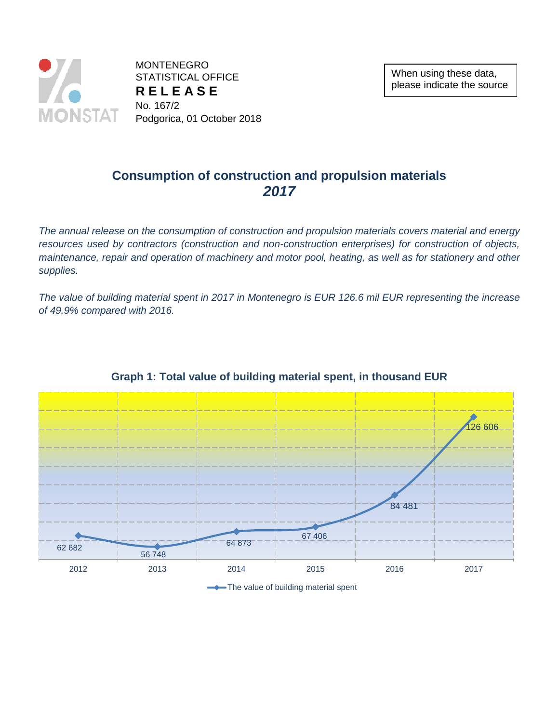

**MONTENEGRO** STATISTICAL OFFICE **R E L E A S E** No. 167/2 Podgorica, 01 October 2018

### **Consumption of construction and propulsion materials** *2017*

*The annual release on the consumption of construction and propulsion materials covers material and energy resources used by contractors (construction and non-construction enterprises) for construction of objects, maintenance, repair and operation of machinery and motor pool, heating, as well as for stationery and other supplies.*

*The value of building material spent in 2017 in Montenegro is EUR 126.6 mil EUR representing the increase of 49.9% compared with 2016.*



### **Graph 1: Total value of building material spent, in thousand EUR**

The value of building material spent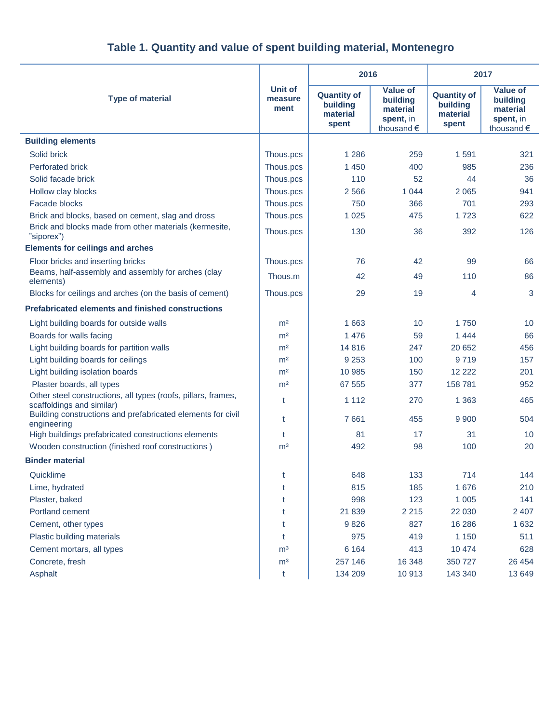|  |  |  | Table 1. Quantity and value of spent building material, Montenegro |
|--|--|--|--------------------------------------------------------------------|
|--|--|--|--------------------------------------------------------------------|

|                                                                                            | Unit of<br>measure<br>ment | 2016                                                |                                                                    | 2017                                                |                                                                    |
|--------------------------------------------------------------------------------------------|----------------------------|-----------------------------------------------------|--------------------------------------------------------------------|-----------------------------------------------------|--------------------------------------------------------------------|
| <b>Type of material</b>                                                                    |                            | <b>Quantity of</b><br>building<br>material<br>spent | <b>Value of</b><br>building<br>material<br>spent, in<br>thousand € | <b>Quantity of</b><br>building<br>material<br>spent | <b>Value of</b><br>building<br>material<br>spent, in<br>thousand € |
| <b>Building elements</b>                                                                   |                            |                                                     |                                                                    |                                                     |                                                                    |
| Solid brick                                                                                | Thous.pcs                  | 1 2 8 6                                             | 259                                                                | 1591                                                | 321                                                                |
| <b>Perforated brick</b>                                                                    | Thous.pcs                  | 1 4 5 0                                             | 400                                                                | 985                                                 | 236                                                                |
| Solid facade brick                                                                         | Thous.pcs                  | 110                                                 | 52                                                                 | 44                                                  | 36                                                                 |
| Hollow clay blocks                                                                         | Thous.pcs                  | 2 5 6 6                                             | 1 0 4 4                                                            | 2065                                                | 941                                                                |
| <b>Facade blocks</b>                                                                       | Thous.pcs                  | 750                                                 | 366                                                                | 701                                                 | 293                                                                |
| Brick and blocks, based on cement, slag and dross                                          | Thous.pcs                  | 1 0 2 5                                             | 475                                                                | 1723                                                | 622                                                                |
| Brick and blocks made from other materials (kermesite,<br>"siporex")                       | Thous.pcs                  | 130                                                 | 36                                                                 | 392                                                 | 126                                                                |
| <b>Elements for ceilings and arches</b>                                                    |                            |                                                     |                                                                    |                                                     |                                                                    |
| Floor bricks and inserting bricks                                                          | Thous.pcs                  | 76                                                  | 42                                                                 | 99                                                  | 66                                                                 |
| Beams, half-assembly and assembly for arches (clay<br>elements)                            | Thous.m                    | 42                                                  | 49                                                                 | 110                                                 | 86                                                                 |
| Blocks for ceilings and arches (on the basis of cement)                                    | Thous.pcs                  | 29                                                  | 19                                                                 | 4                                                   | 3                                                                  |
| <b>Prefabricated elements and finished constructions</b>                                   |                            |                                                     |                                                                    |                                                     |                                                                    |
| Light building boards for outside walls                                                    | m <sup>2</sup>             | 1 6 6 3                                             | 10                                                                 | 1750                                                | 10                                                                 |
| Boards for walls facing                                                                    | m <sup>2</sup>             | 1 4 7 6                                             | 59                                                                 | 1444                                                | 66                                                                 |
| Light building boards for partition walls                                                  | m <sup>2</sup>             | 14 8 16                                             | 247                                                                | 20 652                                              | 456                                                                |
| Light building boards for ceilings                                                         | m <sup>2</sup>             | 9 2 5 3                                             | 100                                                                | 9719                                                | 157                                                                |
| Light building isolation boards                                                            | m <sup>2</sup>             | 10 985                                              | 150                                                                | 12 2 2 2                                            | 201                                                                |
| Plaster boards, all types                                                                  | m <sup>2</sup>             | 67 555                                              | 377                                                                | 158 781                                             | 952                                                                |
| Other steel constructions, all types (roofs, pillars, frames,<br>scaffoldings and similar) | t                          | 1 1 1 2                                             | 270                                                                | 1 3 6 3                                             | 465                                                                |
| Building constructions and prefabricated elements for civil<br>engineering                 | t                          | 7661                                                | 455                                                                | 9 9 0 0                                             | 504                                                                |
| High buildings prefabricated constructions elements                                        | t                          | 81                                                  | 17                                                                 | 31                                                  | 10                                                                 |
| Wooden construction (finished roof constructions)                                          | m <sup>3</sup>             | 492                                                 | 98                                                                 | 100                                                 | 20                                                                 |
| <b>Binder material</b>                                                                     |                            |                                                     |                                                                    |                                                     |                                                                    |
| Quicklime                                                                                  |                            | 648                                                 | 133                                                                | 714                                                 | 144                                                                |
| Lime, hydrated                                                                             | t                          | 815                                                 | 185                                                                | 1676                                                | 210                                                                |
| Plaster, baked                                                                             | t                          | 998                                                 | 123                                                                | 1 0 0 5                                             | 141                                                                |
| Portland cement                                                                            | t                          | 21 839                                              | 2 2 1 5                                                            | 22 030                                              | 2 4 0 7                                                            |
| Cement, other types                                                                        | t                          | 9826                                                | 827                                                                | 16 28 6                                             | 1 6 3 2                                                            |
| Plastic building materials                                                                 | t                          | 975                                                 | 419                                                                | 1 1 5 0                                             | 511                                                                |
| Cement mortars, all types                                                                  | m <sup>3</sup>             | 6 1 6 4                                             | 413                                                                | 10 474                                              | 628                                                                |
| Concrete, fresh                                                                            | m <sup>3</sup>             | 257 146                                             | 16 348                                                             | 350 727                                             | 26 4 54                                                            |
| Asphalt                                                                                    | t                          | 134 209                                             | 10913                                                              | 143 340                                             | 13 649                                                             |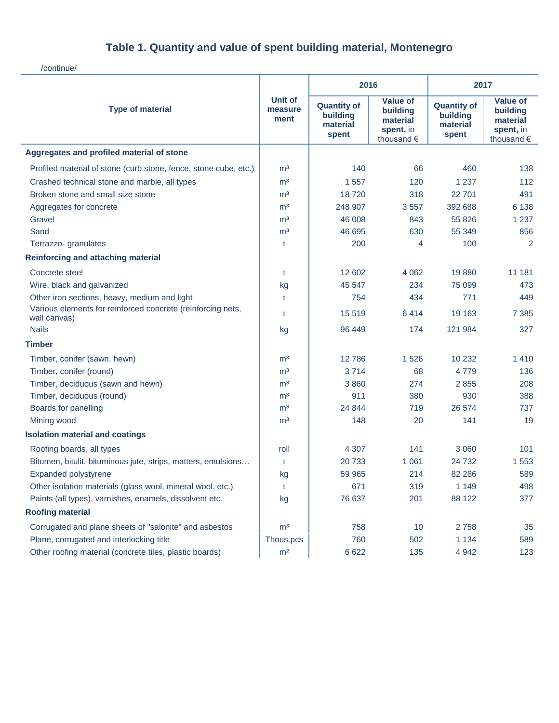## **Table 1. Quantity and value of spent building material, Montenegro**

/continue/

|                                                                             |                                   | 2016                                                |                                                                             | 2017                                                |                                                                             |
|-----------------------------------------------------------------------------|-----------------------------------|-----------------------------------------------------|-----------------------------------------------------------------------------|-----------------------------------------------------|-----------------------------------------------------------------------------|
| <b>Type of material</b>                                                     | <b>Unit of</b><br>measure<br>ment | <b>Quantity of</b><br>building<br>material<br>spent | <b>Value of</b><br>building<br>material<br>spent, in<br>thousand $\epsilon$ | <b>Quantity of</b><br>building<br>material<br>spent | <b>Value of</b><br>building<br>material<br>spent, in<br>thousand $\epsilon$ |
| Aggregates and profiled material of stone                                   |                                   |                                                     |                                                                             |                                                     |                                                                             |
| Profiled material of stone (curb stone, fence, stone cube, etc.)            | m <sup>3</sup>                    | 140                                                 | 66                                                                          | 460                                                 | 138                                                                         |
| Crashed technical stone and marble, all types                               | m <sup>3</sup>                    | 1557                                                | 120                                                                         | 1 2 3 7                                             | 112                                                                         |
| Broken stone and small size stone                                           | m <sup>3</sup>                    | 18720                                               | 318                                                                         | 22 701                                              | 491                                                                         |
| Aggregates for concrete                                                     | m <sup>3</sup>                    | 248 907                                             | 3557                                                                        | 392 688                                             | 6 1 3 8                                                                     |
| Gravel                                                                      | m <sup>3</sup>                    | 46 008                                              | 843                                                                         | 55 826                                              | 1 2 3 7                                                                     |
| Sand                                                                        | m <sup>3</sup>                    | 46 695                                              | 630                                                                         | 55 349                                              | 856                                                                         |
| Terrazzo- granulates                                                        | t                                 | 200                                                 | 4                                                                           | 100                                                 | 2                                                                           |
| <b>Reinforcing and attaching material</b>                                   |                                   |                                                     |                                                                             |                                                     |                                                                             |
| Concrete steel                                                              | t                                 | 12 602                                              | 4 0 6 2                                                                     | 19880                                               | 11 181                                                                      |
| Wire, black and galvanized                                                  | kg                                | 45 547                                              | 234                                                                         | 75 099                                              | 473                                                                         |
| Other iron sections, heavy, medium and light                                | t                                 | 754                                                 | 434                                                                         | 771                                                 | 449                                                                         |
| Various elements for reinforced concrete (reinforcing nets,<br>wall canvas) | t                                 | 15 5 19                                             | 6414                                                                        | 19 163                                              | 7 385                                                                       |
| <b>Nails</b>                                                                | kg                                | 96 449                                              | 174                                                                         | 121 984                                             | 327                                                                         |
| <b>Timber</b>                                                               |                                   |                                                     |                                                                             |                                                     |                                                                             |
| Timber, conifer (sawn, hewn)                                                | m <sup>3</sup>                    | 12786                                               | 1526                                                                        | 10 232                                              | 1 4 1 0                                                                     |
| Timber, conifer (round)                                                     | m <sup>3</sup>                    | 3714                                                | 68                                                                          | 4779                                                | 136                                                                         |
| Timber, deciduous (sawn and hewn)                                           | m <sup>3</sup>                    | 3860                                                | 274                                                                         | 2855                                                | 208                                                                         |
| Timber, deciduous (round)                                                   | m <sup>3</sup>                    | 911                                                 | 380                                                                         | 930                                                 | 388                                                                         |
| Boards for panelling                                                        | m <sup>3</sup>                    | 24 844                                              | 719                                                                         | 26 574                                              | 737                                                                         |
| Mining wood                                                                 | m <sup>3</sup>                    | 148                                                 | 20                                                                          | 141                                                 | 19                                                                          |
| <b>Isolation material and coatings</b>                                      |                                   |                                                     |                                                                             |                                                     |                                                                             |
| Roofing boards, all types                                                   | roll                              | 4 3 0 7                                             | 141                                                                         | 3 0 6 0                                             | 101                                                                         |
| Bitumen, bitulit, bituminous jute, strips, matters, emulsions               | t                                 | 20733                                               | 1 0 6 1                                                                     | 24 7 32                                             | 1553                                                                        |
| Expanded polystyrene                                                        | kg                                | 59 965                                              | 214                                                                         | 82 286                                              | 589                                                                         |
| Other isolation materials (glass wool, mineral wool. etc.)                  | t                                 | 671                                                 | 319                                                                         | 1 1 4 9                                             | 498                                                                         |
| Paints (all types), varnishes, enamels, dissolvent etc.                     | kg                                | 76 637                                              | 201                                                                         | 88 122                                              | 377                                                                         |
| <b>Roofing material</b>                                                     |                                   |                                                     |                                                                             |                                                     |                                                                             |
| Corrugated and plane sheets of "salonite" and asbestos                      | m <sup>3</sup>                    | 758                                                 | 10                                                                          | 2758                                                | 35                                                                          |
| Plane, corrugated and interlocking title                                    | Thous.pcs                         | 760                                                 | 502                                                                         | 1 1 3 4                                             | 589                                                                         |
| Other roofing material (concrete tiles, plastic boards)                     | m <sup>2</sup>                    | 6622                                                | 135                                                                         | 4 9 4 2                                             | 123                                                                         |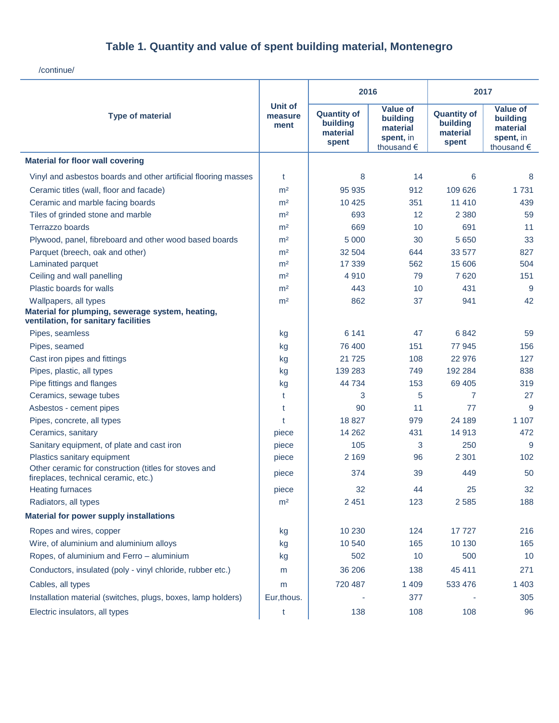## **Table 1. Quantity and value of spent building material, Montenegro**

/continue/

|                                                                                               | <b>Unit of</b><br>measure<br>ment | 2016                                                |                                                                    | 2017                                                |                                                                    |
|-----------------------------------------------------------------------------------------------|-----------------------------------|-----------------------------------------------------|--------------------------------------------------------------------|-----------------------------------------------------|--------------------------------------------------------------------|
| <b>Type of material</b>                                                                       |                                   | <b>Quantity of</b><br>building<br>material<br>spent | <b>Value of</b><br>building<br>material<br>spent, in<br>thousand € | <b>Quantity of</b><br>building<br>material<br>spent | <b>Value of</b><br>building<br>material<br>spent, in<br>thousand € |
| <b>Material for floor wall covering</b>                                                       |                                   |                                                     |                                                                    |                                                     |                                                                    |
| Vinyl and asbestos boards and other artificial flooring masses                                | t                                 | 8                                                   | 14                                                                 | 6                                                   | 8                                                                  |
| Ceramic titles (wall, floor and facade)                                                       | m <sup>2</sup>                    | 95 935                                              | 912                                                                | 109 626                                             | 1731                                                               |
| Ceramic and marble facing boards                                                              | m <sup>2</sup>                    | 10 4 25                                             | 351                                                                | 11 4 10                                             | 439                                                                |
| Tiles of grinded stone and marble                                                             | m <sup>2</sup>                    | 693                                                 | 12                                                                 | 2 3 8 0                                             | 59                                                                 |
| Terrazzo boards                                                                               | m <sup>2</sup>                    | 669                                                 | 10                                                                 | 691                                                 | 11                                                                 |
| Plywood, panel, fibreboard and other wood based boards                                        | m <sup>2</sup>                    | 5 0 0 0                                             | 30                                                                 | 5 6 5 0                                             | 33                                                                 |
| Parquet (breech, oak and other)                                                               | m <sup>2</sup>                    | 32 504                                              | 644                                                                | 33 577                                              | 827                                                                |
| Laminated parquet                                                                             | m <sup>2</sup>                    | 17 339                                              | 562                                                                | 15 606                                              | 504                                                                |
| Ceiling and wall panelling                                                                    | m <sup>2</sup>                    | 4910                                                | 79                                                                 | 7620                                                | 151                                                                |
| Plastic boards for walls                                                                      | m <sup>2</sup>                    | 443                                                 | 10                                                                 | 431                                                 | 9                                                                  |
| Wallpapers, all types                                                                         | m <sup>2</sup>                    | 862                                                 | 37                                                                 | 941                                                 | 42                                                                 |
| Material for plumping, sewerage system, heating,<br>ventilation, for sanitary facilities      |                                   |                                                     |                                                                    |                                                     |                                                                    |
| Pipes, seamless                                                                               | kg                                | 6 1 4 1                                             | 47                                                                 | 6842                                                | 59                                                                 |
| Pipes, seamed                                                                                 | kg                                | 76 400                                              | 151                                                                | 77 945                                              | 156                                                                |
| Cast iron pipes and fittings                                                                  | kg                                | 21 7 25                                             | 108                                                                | 22 976                                              | 127                                                                |
| Pipes, plastic, all types                                                                     | kg                                | 139 283                                             | 749                                                                | 192 284                                             | 838                                                                |
| Pipe fittings and flanges                                                                     | kg                                | 44 734                                              | 153                                                                | 69 40 5                                             | 319                                                                |
| Ceramics, sewage tubes                                                                        | t                                 | 3                                                   | 5                                                                  | $\overline{7}$                                      | 27                                                                 |
| Asbestos - cement pipes                                                                       | t                                 | 90                                                  | 11                                                                 | 77                                                  | 9                                                                  |
| Pipes, concrete, all types                                                                    | t                                 | 18827                                               | 979                                                                | 24 189                                              | 1 1 0 7                                                            |
| Ceramics, sanitary                                                                            | piece                             | 14 2 6 2                                            | 431                                                                | 14 913                                              | 472                                                                |
| Sanitary equipment, of plate and cast iron                                                    | piece                             | 105                                                 | 3                                                                  | 250                                                 | 9                                                                  |
| Plastics sanitary equipment                                                                   | piece                             | 2 1 6 9                                             | 96                                                                 | 2 3 0 1                                             | 102                                                                |
| Other ceramic for construction (titles for stoves and<br>fireplaces, technical ceramic, etc.) | piece                             | 374                                                 | 39                                                                 | 449                                                 | 50                                                                 |
| <b>Heating furnaces</b>                                                                       | piece                             | 32                                                  | 44                                                                 | 25                                                  | 32                                                                 |
| Radiators, all types                                                                          | m <sup>2</sup>                    | 2 4 5 1                                             | 123                                                                | 2 5 8 5                                             | 188                                                                |
| <b>Material for power supply installations</b>                                                |                                   |                                                     |                                                                    |                                                     |                                                                    |
| Ropes and wires, copper                                                                       | kg                                | 10 230                                              | 124                                                                | 17727                                               | 216                                                                |
| Wire, of aluminium and aluminium alloys                                                       | kg                                | 10 540                                              | 165                                                                | 10 130                                              | 165                                                                |
| Ropes, of aluminium and Ferro - aluminium                                                     | kg                                | 502                                                 | 10                                                                 | 500                                                 | 10                                                                 |
| Conductors, insulated (poly - vinyl chloride, rubber etc.)                                    | m                                 | 36 206                                              | 138                                                                | 45 411                                              | 271                                                                |
| Cables, all types                                                                             | m                                 | 720 487                                             | 1 4 0 9                                                            | 533 476                                             | 1 4 0 3                                                            |
| Installation material (switches, plugs, boxes, lamp holders)                                  | Eur, thous.                       |                                                     | 377                                                                |                                                     | 305                                                                |
| Electric insulators, all types                                                                | t                                 | 138                                                 | 108                                                                | 108                                                 | 96                                                                 |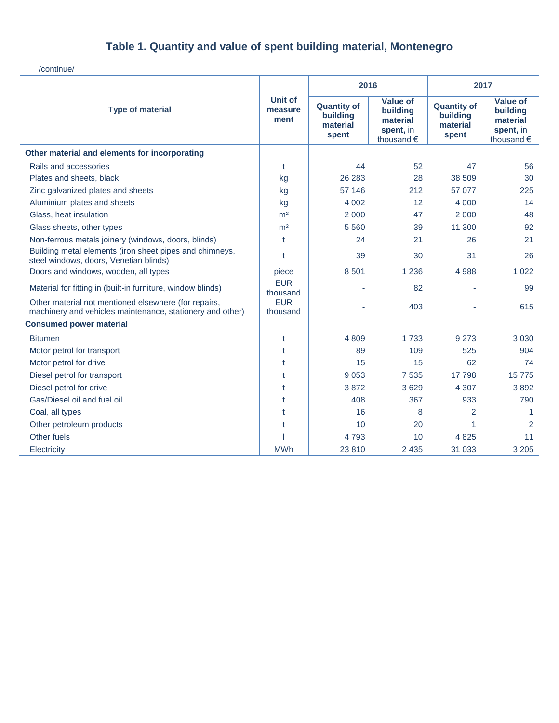# **Table 1. Quantity and value of spent building material, Montenegro**

/continue/

|                                                                                                                   |                            | 2016                                                |                                                                             | 2017                                                |                                                                             |
|-------------------------------------------------------------------------------------------------------------------|----------------------------|-----------------------------------------------------|-----------------------------------------------------------------------------|-----------------------------------------------------|-----------------------------------------------------------------------------|
| <b>Type of material</b>                                                                                           | Unit of<br>measure<br>ment | <b>Quantity of</b><br>building<br>material<br>spent | <b>Value of</b><br>building<br>material<br>spent, in<br>thousand $\epsilon$ | <b>Quantity of</b><br>building<br>material<br>spent | <b>Value of</b><br>building<br>material<br>spent, in<br>thousand $\epsilon$ |
| Other material and elements for incorporating                                                                     |                            |                                                     |                                                                             |                                                     |                                                                             |
| Rails and accessories                                                                                             | t                          | 44                                                  | 52                                                                          | 47                                                  | 56                                                                          |
| Plates and sheets, black                                                                                          | kg                         | 26 283                                              | 28                                                                          | 38 509                                              | 30                                                                          |
| Zinc galvanized plates and sheets                                                                                 | kg                         | 57 146                                              | 212                                                                         | 57 077                                              | 225                                                                         |
| Aluminium plates and sheets                                                                                       | kg                         | 4 0 0 2                                             | 12                                                                          | 4 0 0 0                                             | 14                                                                          |
| Glass, heat insulation                                                                                            | m <sup>2</sup>             | 2 0 0 0                                             | 47                                                                          | 2 0 0 0                                             | 48                                                                          |
| Glass sheets, other types                                                                                         | m <sup>2</sup>             | 5 5 6 0                                             | 39                                                                          | 11 300                                              | 92                                                                          |
| Non-ferrous metals joinery (windows, doors, blinds)                                                               | t                          | 24                                                  | 21                                                                          | 26                                                  | 21                                                                          |
| Building metal elements (iron sheet pipes and chimneys,<br>steel windows, doors, Venetian blinds)                 | $\mathbf t$                | 39                                                  | 30                                                                          | 31                                                  | 26                                                                          |
| Doors and windows, wooden, all types                                                                              | piece                      | 8 5 0 1                                             | 1 2 3 6                                                                     | 4988                                                | 1 0 2 2                                                                     |
| Material for fitting in (built-in furniture, window blinds)                                                       | <b>EUR</b><br>thousand     |                                                     | 82                                                                          |                                                     | 99                                                                          |
| Other material not mentioned elsewhere (for repairs,<br>machinery and vehicles maintenance, stationery and other) | <b>EUR</b><br>thousand     |                                                     | 403                                                                         |                                                     | 615                                                                         |
| <b>Consumed power material</b>                                                                                    |                            |                                                     |                                                                             |                                                     |                                                                             |
| <b>Bitumen</b>                                                                                                    | t                          | 4 8 0 9                                             | 1 7 3 3                                                                     | 9 2 7 3                                             | 3 0 3 0                                                                     |
| Motor petrol for transport                                                                                        | t                          | 89                                                  | 109                                                                         | 525                                                 | 904                                                                         |
| Motor petrol for drive                                                                                            | t                          | 15                                                  | 15                                                                          | 62                                                  | 74                                                                          |
| Diesel petrol for transport                                                                                       | t                          | 9 0 5 3                                             | 7535                                                                        | 17798                                               | 15775                                                                       |
| Diesel petrol for drive                                                                                           | t                          | 3872                                                | 3629                                                                        | 4 3 0 7                                             | 3892                                                                        |
| Gas/Diesel oil and fuel oil                                                                                       | t                          | 408                                                 | 367                                                                         | 933                                                 | 790                                                                         |
| Coal, all types                                                                                                   | t                          | 16                                                  | 8                                                                           | 2                                                   | -1                                                                          |
| Other petroleum products                                                                                          | t                          | 10                                                  | 20                                                                          | 1                                                   | 2                                                                           |
| Other fuels                                                                                                       |                            | 4 7 9 3                                             | 10                                                                          | 4825                                                | 11                                                                          |
| Electricity                                                                                                       | <b>MWh</b>                 | 23 8 10                                             | 2 4 3 5                                                                     | 31 033                                              | 3 2 0 5                                                                     |